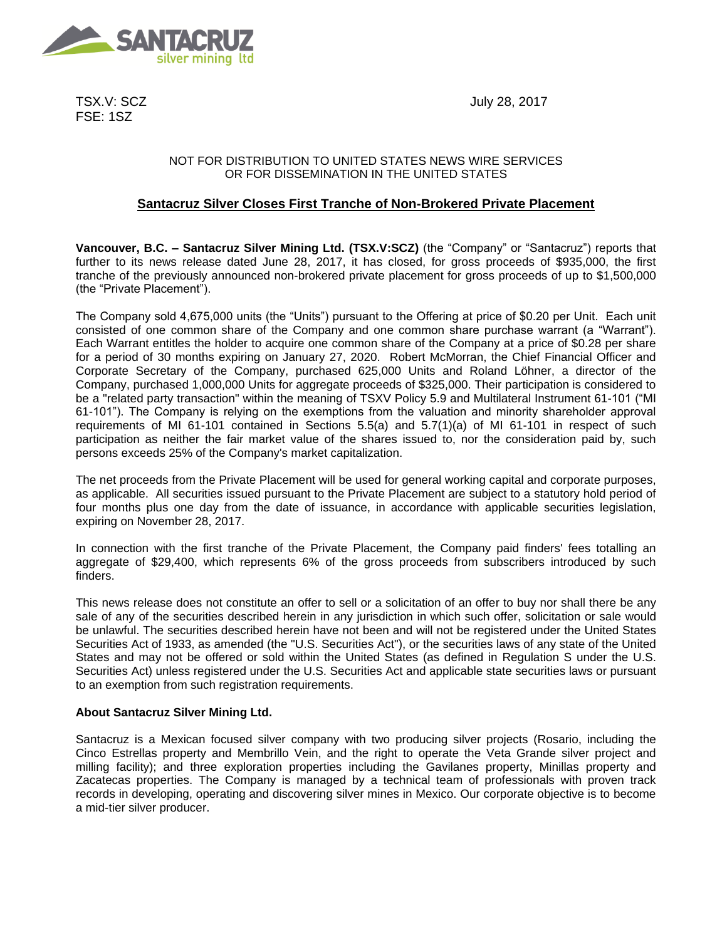

TSX.V: SCZ FSE: 1SZ

July 28, 2017

## NOT FOR DISTRIBUTION TO UNITED STATES NEWS WIRE SERVICES OR FOR DISSEMINATION IN THE UNITED STATES

# **Santacruz Silver Closes First Tranche of Non-Brokered Private Placement**

**Vancouver, B.C. – Santacruz Silver Mining Ltd. (TSX.V:SCZ)** (the "Company" or "Santacruz") reports that further to its news release dated June 28, 2017, it has closed, for gross proceeds of \$935,000, the first tranche of the previously announced non-brokered private placement for gross proceeds of up to \$1,500,000 (the "Private Placement").

The Company sold 4,675,000 units (the "Units") pursuant to the Offering at price of \$0.20 per Unit. Each unit consisted of one common share of the Company and one common share purchase warrant (a "Warrant"). Each Warrant entitles the holder to acquire one common share of the Company at a price of \$0.28 per share for a period of 30 months expiring on January 27, 2020. Robert McMorran, the Chief Financial Officer and Corporate Secretary of the Company, purchased 625,000 Units and Roland Löhner, a director of the Company, purchased 1,000,000 Units for aggregate proceeds of \$325,000. Their participation is considered to be a "related party transaction" within the meaning of TSXV Policy 5.9 and Multilateral Instrument 61-101 ("MI 61-101"). The Company is relying on the exemptions from the valuation and minority shareholder approval requirements of MI 61-101 contained in Sections 5.5(a) and 5.7(1)(a) of MI 61-101 in respect of such participation as neither the fair market value of the shares issued to, nor the consideration paid by, such persons exceeds 25% of the Company's market capitalization.

The net proceeds from the Private Placement will be used for general working capital and corporate purposes, as applicable. All securities issued pursuant to the Private Placement are subject to a statutory hold period of four months plus one day from the date of issuance, in accordance with applicable securities legislation, expiring on November 28, 2017.

In connection with the first tranche of the Private Placement, the Company paid finders' fees totalling an aggregate of \$29,400, which represents 6% of the gross proceeds from subscribers introduced by such finders.

This news release does not constitute an offer to sell or a solicitation of an offer to buy nor shall there be any sale of any of the securities described herein in any jurisdiction in which such offer, solicitation or sale would be unlawful. The securities described herein have not been and will not be registered under the United States Securities Act of 1933, as amended (the "U.S. Securities Act"), or the securities laws of any state of the United States and may not be offered or sold within the United States (as defined in Regulation S under the U.S. Securities Act) unless registered under the U.S. Securities Act and applicable state securities laws or pursuant to an exemption from such registration requirements.

### **About Santacruz Silver Mining Ltd.**

Santacruz is a Mexican focused silver company with two producing silver projects (Rosario, including the Cinco Estrellas property and Membrillo Vein, and the right to operate the Veta Grande silver project and milling facility); and three exploration properties including the Gavilanes property, Minillas property and Zacatecas properties. The Company is managed by a technical team of professionals with proven track records in developing, operating and discovering silver mines in Mexico. Our corporate objective is to become a mid-tier silver producer.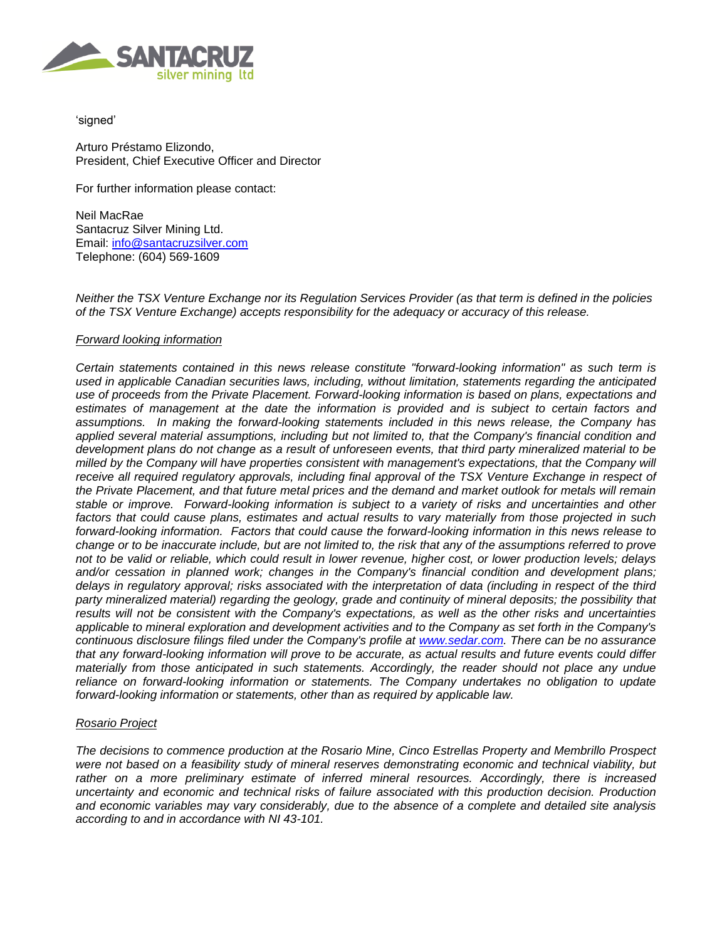

'signed'

Arturo Préstamo Elizondo, President, Chief Executive Officer and Director

For further information please contact:

Neil MacRae Santacruz Silver Mining Ltd. Email: [info@santacruzsilver.com](mailto:infonmacrae@santacruzsilver.com) Telephone: (604) 569-1609

*Neither the TSX Venture Exchange nor its Regulation Services Provider (as that term is defined in the policies of the TSX Venture Exchange) accepts responsibility for the adequacy or accuracy of this release.* 

### *Forward looking information*

*Certain statements contained in this news release constitute "forward-looking information" as such term is used in applicable Canadian securities laws, including, without limitation, statements regarding the anticipated use of proceeds from the Private Placement. Forward-looking information is based on plans, expectations and estimates of management at the date the information is provided and is subject to certain factors and assumptions. In making the forward-looking statements included in this news release, the Company has applied several material assumptions, including but not limited to, that the Company's financial condition and development plans do not change as a result of unforeseen events, that third party mineralized material to be milled by the Company will have properties consistent with management's expectations, that the Company will receive all required regulatory approvals, including final approval of the TSX Venture Exchange in respect of the Private Placement, and that future metal prices and the demand and market outlook for metals will remain stable or improve. Forward-looking information is subject to a variety of risks and uncertainties and other factors that could cause plans, estimates and actual results to vary materially from those projected in such forward-looking information. Factors that could cause the forward-looking information in this news release to change or to be inaccurate include, but are not limited to, the risk that any of the assumptions referred to prove not to be valid or reliable, which could result in lower revenue, higher cost, or lower production levels; delays and/or cessation in planned work; changes in the Company's financial condition and development plans; delays in regulatory approval; risks associated with the interpretation of data (including in respect of the third party mineralized material) regarding the geology, grade and continuity of mineral deposits; the possibility that results will not be consistent with the Company's expectations, as well as the other risks and uncertainties applicable to mineral exploration and development activities and to the Company as set forth in the Company's continuous disclosure filings filed under the Company's profile at [www.sedar.com.](http://www.sedar.com/) There can be no assurance that any forward-looking information will prove to be accurate, as actual results and future events could differ materially from those anticipated in such statements. Accordingly, the reader should not place any undue reliance on forward-looking information or statements. The Company undertakes no obligation to update forward-looking information or statements, other than as required by applicable law.*

### *Rosario Project*

*The decisions to commence production at the Rosario Mine, Cinco Estrellas Property and Membrillo Prospect were not based on a feasibility study of mineral reserves demonstrating economic and technical viability, but rather on a more preliminary estimate of inferred mineral resources. Accordingly, there is increased uncertainty and economic and technical risks of failure associated with this production decision. Production and economic variables may vary considerably, due to the absence of a complete and detailed site analysis according to and in accordance with NI 43-101.*